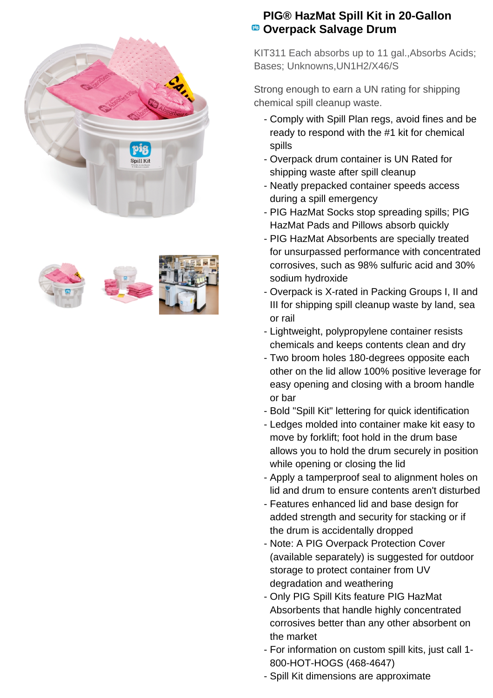







## **PIG® HazMat Spill Kit in 20-Gallon <sup>®</sup> Overpack Salvage Drum**

KIT311 Each absorbs up to 11 gal.,Absorbs Acids; Bases; Unknowns,UN1H2/X46/S

Strong enough to earn a UN rating for shipping chemical spill cleanup waste.

- Comply with Spill Plan regs, avoid fines and be ready to respond with the #1 kit for chemical spills
- Overpack drum container is UN Rated for shipping waste after spill cleanup
- Neatly prepacked container speeds access during a spill emergency
- PIG HazMat Socks stop spreading spills; PIG HazMat Pads and Pillows absorb quickly
- PIG HazMat Absorbents are specially treated for unsurpassed performance with concentrated corrosives, such as 98% sulfuric acid and 30% sodium hydroxide
- Overpack is X-rated in Packing Groups I, II and III for shipping spill cleanup waste by land, sea or rail
- Lightweight, polypropylene container resists chemicals and keeps contents clean and dry
- Two broom holes 180-degrees opposite each other on the lid allow 100% positive leverage for easy opening and closing with a broom handle or bar
- Bold "Spill Kit" lettering for quick identification
- Ledges molded into container make kit easy to move by forklift; foot hold in the drum base allows you to hold the drum securely in position while opening or closing the lid
- Apply a tamperproof seal to alignment holes on lid and drum to ensure contents aren't disturbed
- Features enhanced lid and base design for added strength and security for stacking or if the drum is accidentally dropped
- Note: A PIG Overpack Protection Cover (available separately) is suggested for outdoor storage to protect container from UV degradation and weathering
- Only PIG Spill Kits feature PIG HazMat Absorbents that handle highly concentrated corrosives better than any other absorbent on the market
- For information on custom spill kits, just call 1-800-HOT-HOGS (468-4647)
- Spill Kit dimensions are approximate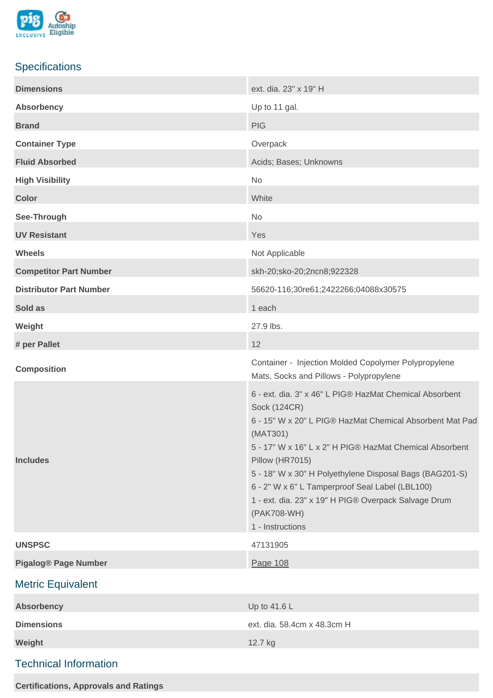

## **Specifications**

| <b>Dimensions</b>              | ext. dia. 23" x 19" H                                                                                                                                                                                                                                                                                                                                                                                                                         |
|--------------------------------|-----------------------------------------------------------------------------------------------------------------------------------------------------------------------------------------------------------------------------------------------------------------------------------------------------------------------------------------------------------------------------------------------------------------------------------------------|
| <b>Absorbency</b>              | Up to 11 gal.                                                                                                                                                                                                                                                                                                                                                                                                                                 |
| <b>Brand</b>                   | <b>PIG</b>                                                                                                                                                                                                                                                                                                                                                                                                                                    |
| <b>Container Type</b>          | Overpack                                                                                                                                                                                                                                                                                                                                                                                                                                      |
| <b>Fluid Absorbed</b>          | Acids; Bases; Unknowns                                                                                                                                                                                                                                                                                                                                                                                                                        |
| <b>High Visibility</b>         | No                                                                                                                                                                                                                                                                                                                                                                                                                                            |
| <b>Color</b>                   | White                                                                                                                                                                                                                                                                                                                                                                                                                                         |
| See-Through                    | No                                                                                                                                                                                                                                                                                                                                                                                                                                            |
| <b>UV Resistant</b>            | Yes                                                                                                                                                                                                                                                                                                                                                                                                                                           |
| <b>Wheels</b>                  | Not Applicable                                                                                                                                                                                                                                                                                                                                                                                                                                |
| <b>Competitor Part Number</b>  | skh-20;sko-20;2ncn8;922328                                                                                                                                                                                                                                                                                                                                                                                                                    |
| <b>Distributor Part Number</b> | 56620-116;30re61;2422266;04088x30575                                                                                                                                                                                                                                                                                                                                                                                                          |
| Sold as                        | 1 each                                                                                                                                                                                                                                                                                                                                                                                                                                        |
| Weight                         | 27.9 lbs.                                                                                                                                                                                                                                                                                                                                                                                                                                     |
| # per Pallet                   | 12                                                                                                                                                                                                                                                                                                                                                                                                                                            |
| <b>Composition</b>             | Container - Injection Molded Copolymer Polypropylene<br>Mats, Socks and Pillows - Polypropylene                                                                                                                                                                                                                                                                                                                                               |
| <b>Includes</b>                | 6 - ext. dia. 3" x 46" L PIG® HazMat Chemical Absorbent<br><b>Sock (124CR)</b><br>6 - 15" W x 20" L PIG® HazMat Chemical Absorbent Mat Pad<br>(MAT301)<br>5 - 17" W x 16" L x 2" H PIG® HazMat Chemical Absorbent<br>Pillow (HR7015)<br>5 - 18" W x 30" H Polyethylene Disposal Bags (BAG201-S)<br>6 - 2" W x 6" L Tamperproof Seal Label (LBL100)<br>1 - ext. dia. 23" x 19" H PIG® Overpack Salvage Drum<br>(PAK708-WH)<br>1 - Instructions |
| <b>UNSPSC</b>                  | 47131905                                                                                                                                                                                                                                                                                                                                                                                                                                      |
| <b>Pigalog® Page Number</b>    | Page 108                                                                                                                                                                                                                                                                                                                                                                                                                                      |
| <b>Metric Equivalent</b>       |                                                                                                                                                                                                                                                                                                                                                                                                                                               |
| <b>Absorbency</b>              | Up to 41.6 L                                                                                                                                                                                                                                                                                                                                                                                                                                  |
| <b>Dimensions</b>              | ext. dia. 58.4cm x 48.3cm H                                                                                                                                                                                                                                                                                                                                                                                                                   |
| Weight                         | 12.7 kg                                                                                                                                                                                                                                                                                                                                                                                                                                       |
| <b>Technical Information</b>   |                                                                                                                                                                                                                                                                                                                                                                                                                                               |

**Certifications, Approvals and Ratings**